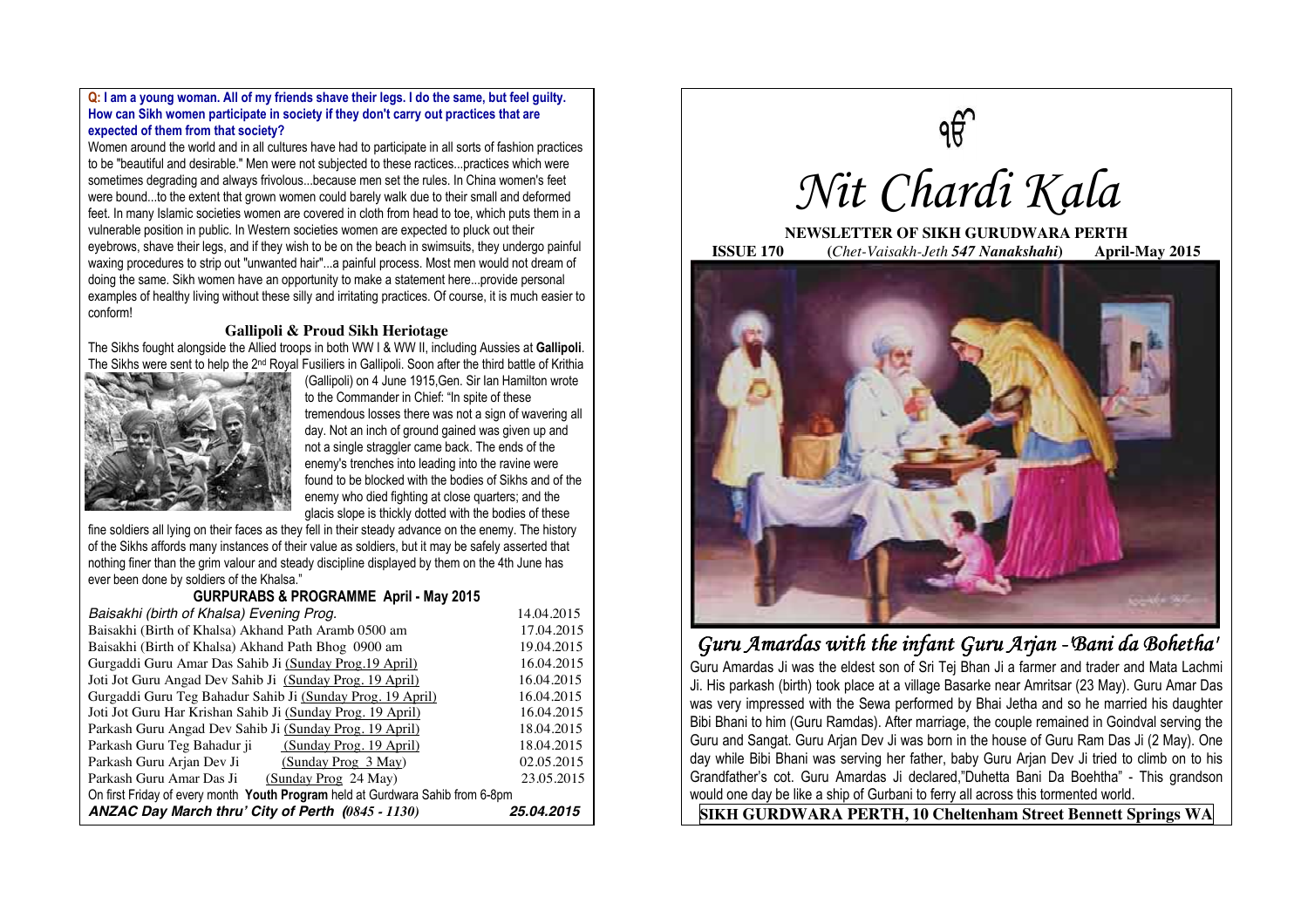#### **Q: I am a young woman. All of my friends shave their legs. I do the same, but feel guilty. How can Sikh women participate in society if they don't carry out practices that are expected of them from that society?**

Women around the world and in all cultures have had to participate in all sorts of fashion practices to be "beautiful and desirable." Men were not subjected to these ractices...practices which were sometimes degrading and always frivolous...because men set the rules. In China women's feet were bound...to the extent that grown women could barely walk due to their small and deformed feet. In many Islamic societies women are covered in cloth from head to toe, which puts them in a vulnerable position in public. In Western societies women are expected to pluck out their eyebrows, shave their legs, and if they wish to be on the beach in swimsuits, they undergo painful waxing procedures to strip out "unwanted hair"...a painful process. Most men would not dream of doing the same. Sikh women have an opportunity to make a statement here...provide personal examples of healthy living without these silly and irritating practices. Of course, it is much easier to conform!

#### **Gallipoli & Proud Sikh Heriotage**

The Sikhs fought alongside the Allied troops in both WW I & WW II, including Aussies at **Gallipoli**. The Sikhs were sent to help the 2<sup>nd</sup> Royal Fusiliers in Gallipoli. Soon after the third battle of Krithia



(Gallipoli) on 4 June 1915,Gen. Sir Ian Hamilton wrote to the Commander in Chief: "In spite of these tremendous losses there was not a sign of wavering all day. Not an inch of ground gained was given up and not a single straggler came back. The ends of the enemy's trenches into leading into the ravine were found to be blocked with the bodies of Sikhs and of the enemy who died fighting at close quarters; and the glacis slope is thickly dotted with the bodies of these

fine soldiers all lying on their faces as they fell in their steady advance on the enemy. The history of the Sikhs affords many instances of their value as soldiers, but it may be safely asserted that nothing finer than the grim valour and steady discipline displayed by them on the 4th June has ever been done by soldiers of the Khalsa."

# **GURPURABS & PROGRAMME April - May 2015**

| Baisakhi (birth of Khalsa) Evening Prog.                                       | 14.04.2015 |
|--------------------------------------------------------------------------------|------------|
| Baisakhi (Birth of Khalsa) Akhand Path Aramb 0500 am                           | 17.04.2015 |
| Baisakhi (Birth of Khalsa) Akhand Path Bhog 0900 am                            | 19.04.2015 |
| Gurgaddi Guru Amar Das Sahib Ji (Sunday Prog. 19 April)                        | 16.04.2015 |
| Joti Jot Guru Angad Dev Sahib Ji (Sunday Prog. 19 April)                       | 16.04.2015 |
| Gurgaddi Guru Teg Bahadur Sahib Ji (Sunday Prog. 19 April)                     | 16.04.2015 |
| Joti Jot Guru Har Krishan Sahib Ji (Sunday Prog. 19 April)                     | 16.04.2015 |
| Parkash Guru Angad Dev Sahib Ji (Sunday Prog. 19 April)                        | 18.04.2015 |
| Parkash Guru Teg Bahadur ji<br>(Sunday Prog. 19 April)                         | 18.04.2015 |
| Parkash Guru Arjan Dev Ji<br>(Sunday Prog 3 May)                               | 02.05.2015 |
| Parkash Guru Amar Das Ji<br>(Sunday Prog 24 May)                               | 23.05.2015 |
| On first Friday of every month Youth Program held at Gurdwara Sahib from 6-8pm |            |
| ANZAC Day March thru' City of Perth (0845 - 1130)                              | 25.04.2015 |



**NEWSLETTER OF SIKH GURUDWARA PERTH** 

**ISSUE 170 (***Chet-Vaisakh-Jeth 547 Nanakshahi***) April-May 2015** 



# *Guru Amardas with the infant Guru Arjan - Bani da Bohetha'*

Guru Amardas Ji was the eldest son of Sri Tej Bhan Ji a farmer and trader and Mata Lachmi Ji. His parkash (birth) took place at a village Basarke near Amritsar (23 May). Guru Amar Das was very impressed with the Sewa performed by Bhai Jetha and so he married his daughter Bibi Bhani to him (Guru Ramdas). After marriage, the couple remained in Goindval serving the Guru and Sangat. Guru Arjan Dev Ji was born in the house of Guru Ram Das Ji (2 May). One day while Bibi Bhani was serving her father, baby Guru Arjan Dev Ji tried to climb on to his Grandfather's cot. Guru Amardas Ji declared,"Duhetta Bani Da Boehtha" - This grandson would one day be like a ship of Gurbani to ferry all across this tormented world.

**SIKH GURDWARA PERTH, 10 Cheltenham Street Bennett Springs WA**